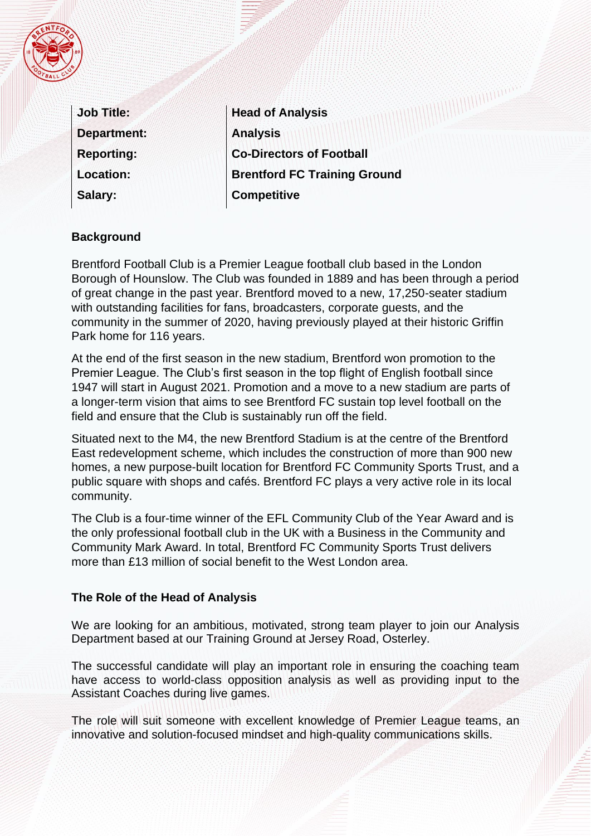|  | $F_{\sigma}$ |  |
|--|--------------|--|
|  |              |  |
|  |              |  |
|  |              |  |
|  | BAL          |  |

| <b>Job Title:</b>  |
|--------------------|
| <b>Department:</b> |
| <b>Reporting:</b>  |
| <b>Location:</b>   |
| Salary:            |

**Head of Analysis Analysis Co-Directors of Football Brentford FC Training Ground Competitive** 

## **Background**

Brentford Football Club is a Premier League football club based in the London Borough of Hounslow. The Club was founded in 1889 and has been through a period of great change in the past year. Brentford moved to a new, 17,250-seater stadium with outstanding facilities for fans, broadcasters, corporate guests, and the community in the summer of 2020, having previously played at their historic Griffin Park home for 116 years.

At the end of the first season in the new stadium, Brentford won promotion to the Premier League. The Club's first season in the top flight of English football since 1947 will start in August 2021. Promotion and a move to a new stadium are parts of a longer-term vision that aims to see Brentford FC sustain top level football on the field and ensure that the Club is sustainably run off the field.

Situated next to the M4, the new Brentford Stadium is at the centre of the Brentford East redevelopment scheme, which includes the construction of more than 900 new homes, a new purpose-built location for Brentford FC Community Sports Trust, and a public square with shops and cafés. Brentford FC plays a very active role in its local community.

The Club is a four-time winner of the EFL Community Club of the Year Award and is the only professional football club in the UK with a Business in the Community and Community Mark Award. In total, Brentford FC Community Sports Trust delivers more than £13 million of social benefit to the West London area.

## **The Role of the Head of Analysis**

We are looking for an ambitious, motivated, strong team player to join our Analysis Department based at our Training Ground at Jersey Road, Osterley.

The successful candidate will play an important role in ensuring the coaching team have access to world-class opposition analysis as well as providing input to the Assistant Coaches during live games.

The role will suit someone with excellent knowledge of Premier League teams, an innovative and solution-focused mindset and high-quality communications skills.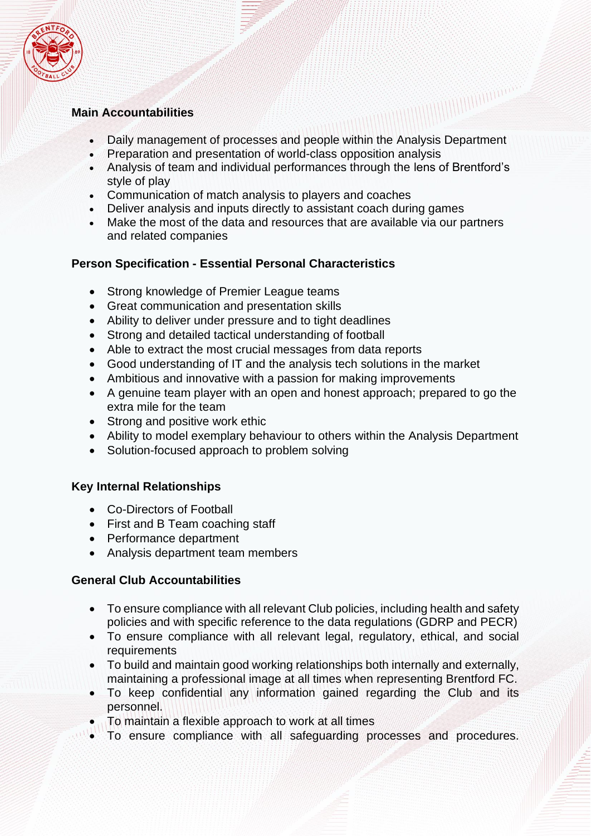

### **Main Accountabilities**

• Daily management of processes and people within the Analysis Department

- Preparation and presentation of world-class opposition analysis
- Analysis of team and individual performances through the lens of Brentford's style of play
- Communication of match analysis to players and coaches
- Deliver analysis and inputs directly to assistant coach during games
- Make the most of the data and resources that are available via our partners and related companies

## **Person Specification - Essential Personal Characteristics**

- Strong knowledge of Premier League teams
- Great communication and presentation skills
- Ability to deliver under pressure and to tight deadlines
- Strong and detailed tactical understanding of football
- Able to extract the most crucial messages from data reports
- Good understanding of IT and the analysis tech solutions in the market
- Ambitious and innovative with a passion for making improvements
- A genuine team player with an open and honest approach; prepared to go the extra mile for the team
- Strong and positive work ethic
- Ability to model exemplary behaviour to others within the Analysis Department
- Solution-focused approach to problem solving

#### **Key Internal Relationships**

- Co-Directors of Football
- First and B Team coaching staff
- Performance department
- Analysis department team members

## **General Club Accountabilities**

- To ensure compliance with all relevant Club policies, including health and safety policies and with specific reference to the data regulations (GDRP and PECR)
- To ensure compliance with all relevant legal, regulatory, ethical, and social requirements
- To build and maintain good working relationships both internally and externally, maintaining a professional image at all times when representing Brentford FC.
- To keep confidential any information gained regarding the Club and its personnel.
- To maintain a flexible approach to work at all times
- To ensure compliance with all safeguarding processes and procedures.